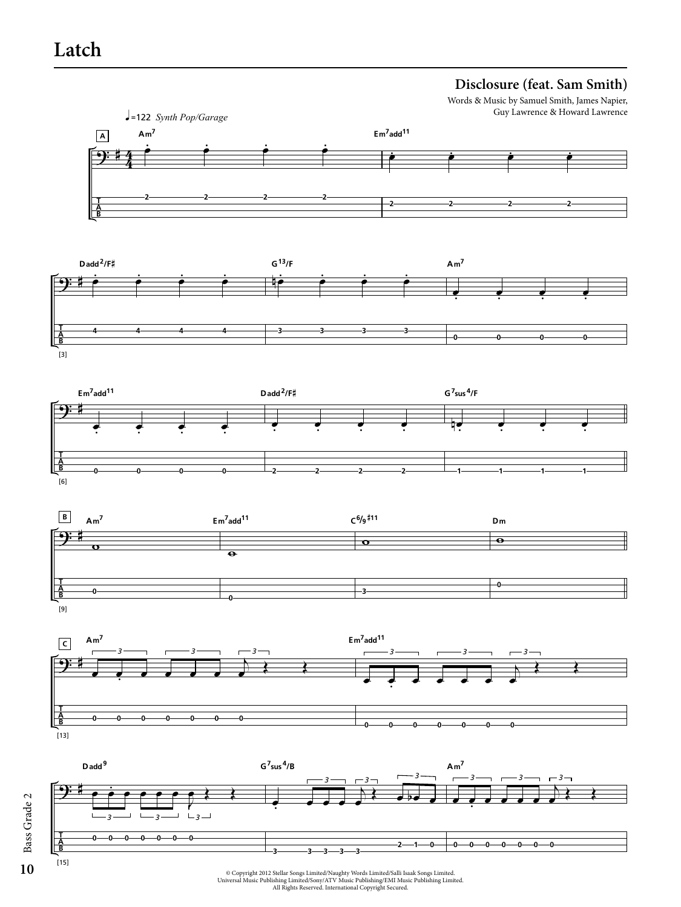# **Latch**

**T A B**

[3]

**T A B**

 $[6]$ 

**T A B**

[9]

**T A B**

 $[15]$ 

**0 0 0 0 0 0 0**

# **Disclosure (feat. Sam Smith)**

Guy Lawrence & Howard Lawrence





**3 3 3 3 3**

**0 0 0 0 0 0 0**

Copyright 2012 Stellar Songs Limited/Naughty Words Limited/Salli Isaak Songs Limited.<br>Universal Music Publishing Limited/Sony/ATV Music Publishing/EMI Music Publishing Limited.<br>All Rights Reserved. International Copyright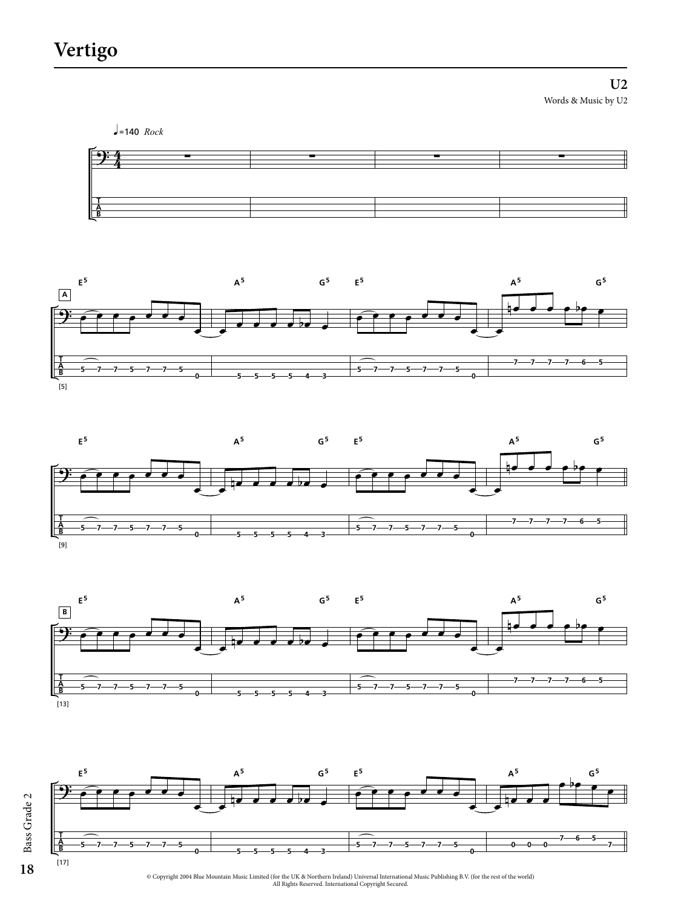**U2** Words & Music by U2



Bass Grade 2 Bass Grade 2 **18**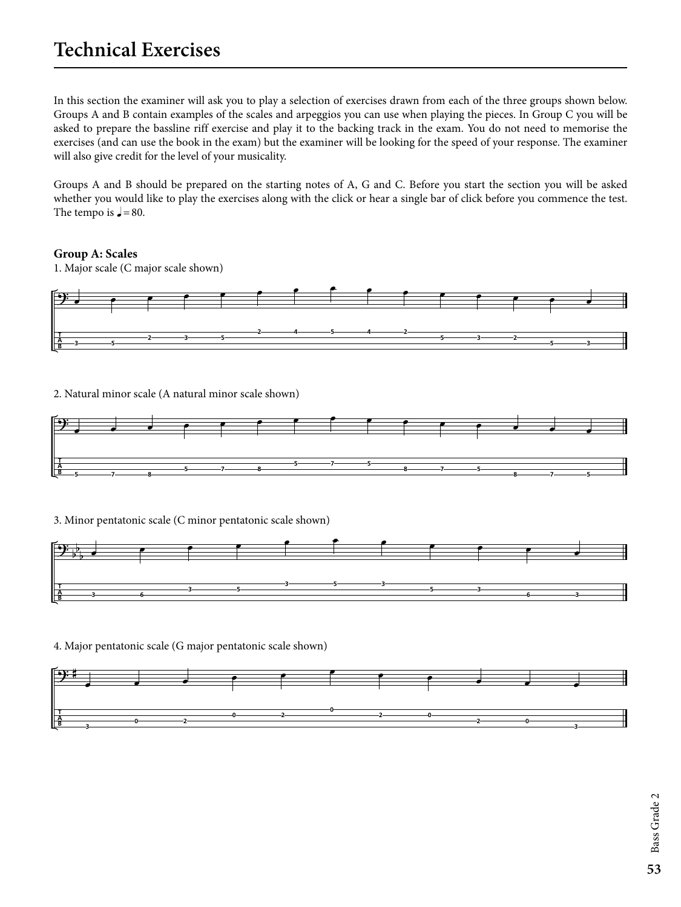# **Technical Exercises**

In this section the examiner will ask you to play a selection of exercises drawn from each of the three groups shown below. Groups A and B contain examples of the scales and arpeggios you can use when playing the pieces. In Group C you will be asked to prepare the bassline riff exercise and play it to the backing track in the exam. You do not need to memorise the exercises (and can use the book in the exam) but the examiner will be looking for the speed of your response. The examiner will also give credit for the level of your musicality.

Groups A and B should be prepared on the starting notes of A, G and C. Before you start the section you will be asked whether you would like to play the exercises along with the click or hear a single bar of click before you commence the test. The tempo is  $\sqrt{ } = 80.$ 

## **Group A: Scales**



2. Natural minor scale (A natural minor scale shown)



3. Minor pentatonic scale (C minor pentatonic scale shown)



4. Major pentatonic scale (G major pentatonic scale shown)